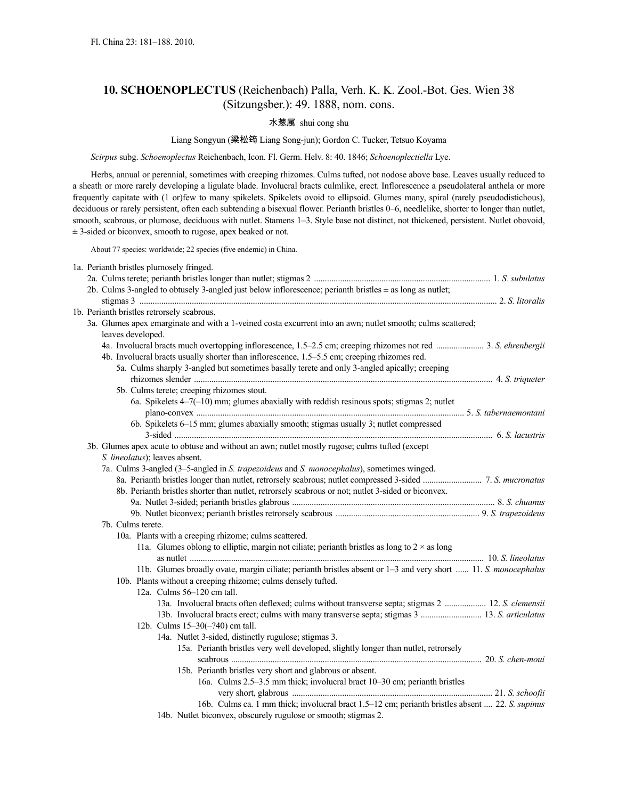# **10. SCHOENOPLECTUS** (Reichenbach) Palla, Verh. K. K. Zool.-Bot. Ges. Wien 38 (Sitzungsber.): 49. 1888, nom. cons.

# 水葱属 shui cong shu

# Liang Songyun (梁松筠 Liang Song-jun); Gordon C. Tucker, Tetsuo Koyama

*Scirpus* subg. *Schoenoplectus* Reichenbach, Icon. Fl. Germ. Helv. 8: 40. 1846; *Schoenoplectiella* Lye.

Herbs, annual or perennial, sometimes with creeping rhizomes. Culms tufted, not nodose above base. Leaves usually reduced to a sheath or more rarely developing a ligulate blade. Involucral bracts culmlike, erect. Inflorescence a pseudolateral anthela or more frequently capitate with (1 or)few to many spikelets. Spikelets ovoid to ellipsoid. Glumes many, spiral (rarely pseudodistichous), deciduous or rarely persistent, often each subtending a bisexual flower. Perianth bristles 0–6, needlelike, shorter to longer than nutlet, smooth, scabrous, or plumose, deciduous with nutlet. Stamens 1–3. Style base not distinct, not thickened, persistent. Nutlet obovoid, ± 3-sided or biconvex, smooth to rugose, apex beaked or not.

About 77 species: worldwide; 22 species (five endemic) in China.

|  | 1a. Perianth bristles plumosely fringed.                                                                                                                  |  |
|--|-----------------------------------------------------------------------------------------------------------------------------------------------------------|--|
|  |                                                                                                                                                           |  |
|  | 2b. Culms 3-angled to obtusely 3-angled just below inflorescence; perianth bristles $\pm$ as long as nutlet;                                              |  |
|  |                                                                                                                                                           |  |
|  | 1b. Perianth bristles retrorsely scabrous.<br>3a. Glumes apex emarginate and with a 1-veined costa excurrent into an awn; nutlet smooth; culms scattered; |  |
|  | leaves developed.                                                                                                                                         |  |
|  | 4a. Involucral bracts much overtopping inflorescence, 1.5–2.5 cm; creeping rhizomes not red  3. S. ehrenbergii                                            |  |
|  | 4b. Involucral bracts usually shorter than inflorescence, 1.5–5.5 cm; creeping rhizomes red.                                                              |  |
|  | 5a. Culms sharply 3-angled but sometimes basally terete and only 3-angled apically; creeping                                                              |  |
|  |                                                                                                                                                           |  |
|  | 5b. Culms terete; creeping rhizomes stout.                                                                                                                |  |
|  | 6a. Spikelets $4-7(-10)$ mm; glumes abaxially with reddish resinous spots; stigmas 2; nutlet                                                              |  |
|  |                                                                                                                                                           |  |
|  | 6b. Spikelets 6–15 mm; glumes abaxially smooth; stigmas usually 3; nutlet compressed                                                                      |  |
|  | 3b. Glumes apex acute to obtuse and without an awn; nutlet mostly rugose; culms tufted (except                                                            |  |
|  | S. lineolatus); leaves absent.                                                                                                                            |  |
|  | 7a. Culms 3-angled (3-5-angled in S. trapezoideus and S. monocephalus), sometimes winged.                                                                 |  |
|  |                                                                                                                                                           |  |
|  | 8b. Perianth bristles shorter than nutlet, retrorsely scabrous or not; nutlet 3-sided or biconvex.                                                        |  |
|  |                                                                                                                                                           |  |
|  |                                                                                                                                                           |  |
|  | 7b. Culms terete.                                                                                                                                         |  |
|  | 10a. Plants with a creeping rhizome; culms scattered.                                                                                                     |  |
|  | 11a. Glumes oblong to elliptic, margin not ciliate; perianth bristles as long to $2 \times$ as long                                                       |  |
|  | 11b. Glumes broadly ovate, margin ciliate; perianth bristles absent or 1–3 and very short  11. S. monocephalus                                            |  |
|  | 10b. Plants without a creeping rhizome; culms densely tufted.                                                                                             |  |
|  | 12a. Culms 56-120 cm tall.                                                                                                                                |  |
|  | 13a. Involucral bracts often deflexed; culms without transverse septa; stigmas 2  12. S. clemensii                                                        |  |
|  |                                                                                                                                                           |  |
|  | 12b. Culms 15-30(-?40) cm tall.                                                                                                                           |  |
|  | 14a. Nutlet 3-sided, distinctly rugulose; stigmas 3.                                                                                                      |  |
|  | 15a. Perianth bristles very well developed, slightly longer than nutlet, retrorsely                                                                       |  |
|  |                                                                                                                                                           |  |
|  | 15b. Perianth bristles very short and glabrous or absent.                                                                                                 |  |
|  | 16a. Culms 2.5–3.5 mm thick; involucral bract 10–30 cm; perianth bristles                                                                                 |  |
|  | 16b. Culms ca. 1 mm thick; involucral bract 1.5–12 cm; perianth bristles absent  22. S. supinus                                                           |  |
|  | 14b. Nutlet biconvex, obscurely rugulose or smooth; stigmas 2.                                                                                            |  |
|  |                                                                                                                                                           |  |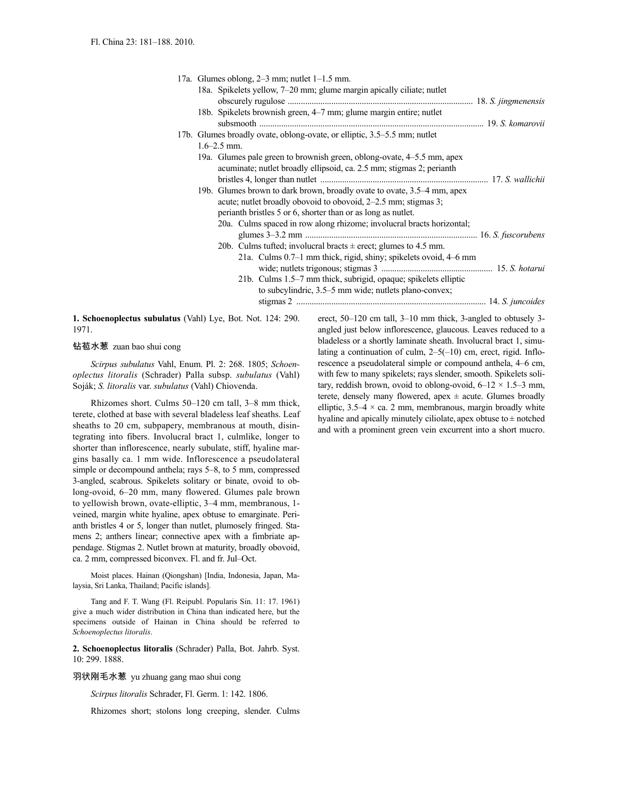|  | 17a. Glumes oblong, $2-3$ mm; nutlet $1-1.5$ mm.                                                                                                                                                            |  |
|--|-------------------------------------------------------------------------------------------------------------------------------------------------------------------------------------------------------------|--|
|  | 18a. Spikelets yellow, 7–20 mm; glume margin apically ciliate; nutlet                                                                                                                                       |  |
|  | 18b. Spikelets brownish green, 4–7 mm; glume margin entire; nutlet                                                                                                                                          |  |
|  | 17b. Glumes broadly ovate, oblong-ovate, or elliptic, 3.5–5.5 mm; nutlet<br>$1.6 - 2.5$ mm.                                                                                                                 |  |
|  | 19a. Glumes pale green to brownish green, oblong-ovate, 4–5.5 mm, apex<br>acuminate; nutlet broadly ellipsoid, ca. 2.5 mm; stigmas 2; perianth                                                              |  |
|  | 19b. Glumes brown to dark brown, broadly ovate to ovate, 3.5-4 mm, apex<br>acute; nutlet broadly obovoid to obovoid, $2-2.5$ mm; stigmas 3;<br>perianth bristles 5 or 6, shorter than or as long as nutlet. |  |
|  | 20a. Culms spaced in row along rhizome; involucral bracts horizontal;<br>20b. Culms tufted; involucral bracts $\pm$ erect; glumes to 4.5 mm.                                                                |  |
|  | 21a. Culms 0.7–1 mm thick, rigid, shiny; spikelets ovoid, 4–6 mm<br>21b. Culms 1.5–7 mm thick, subrigid, opaque; spikelets elliptic                                                                         |  |
|  | to subcylindric, 3.5–5 mm wide; nutlets plano-convex;                                                                                                                                                       |  |

**1. Schoenoplectus subulatus** (Vahl) Lye, Bot. Not. 124: 290. 1971.

钻苞水葱 zuan bao shui cong

*Scirpus subulatus* Vahl, Enum. Pl. 2: 268. 1805; *Schoenoplectus litoralis* (Schrader) Palla subsp. *subulatus* (Vahl) Soják; *S. litoralis* var. *subulatus* (Vahl) Chiovenda.

Rhizomes short. Culms 50–120 cm tall, 3–8 mm thick, terete, clothed at base with several bladeless leaf sheaths. Leaf sheaths to 20 cm, subpapery, membranous at mouth, disintegrating into fibers. Involucral bract 1, culmlike, longer to shorter than inflorescence, nearly subulate, stiff, hyaline margins basally ca. 1 mm wide. Inflorescence a pseudolateral simple or decompound anthela; rays 5–8, to 5 mm, compressed 3-angled, scabrous. Spikelets solitary or binate, ovoid to oblong-ovoid, 6–20 mm, many flowered. Glumes pale brown to yellowish brown, ovate-elliptic, 3–4 mm, membranous, 1 veined, margin white hyaline, apex obtuse to emarginate. Perianth bristles 4 or 5, longer than nutlet, plumosely fringed. Stamens 2; anthers linear; connective apex with a fimbriate appendage. Stigmas 2. Nutlet brown at maturity, broadly obovoid, ca. 2 mm, compressed biconvex. Fl. and fr. Jul–Oct.

Moist places. Hainan (Qiongshan) [India, Indonesia, Japan, Malaysia, Sri Lanka, Thailand; Pacific islands].

Tang and F. T. Wang (Fl. Reipubl. Popularis Sin. 11: 17. 1961) give a much wider distribution in China than indicated here, but the specimens outside of Hainan in China should be referred to *Schoenoplectus litoralis*.

**2. Schoenoplectus litoralis** (Schrader) Palla, Bot. Jahrb. Syst. 10: 299. 1888.

羽状刚毛水葱 yu zhuang gang mao shui cong

*Scirpus litoralis* Schrader, Fl. Germ. 1: 142. 1806.

Rhizomes short; stolons long creeping, slender. Culms

erect, 50–120 cm tall, 3–10 mm thick, 3-angled to obtusely 3 angled just below inflorescence, glaucous. Leaves reduced to a bladeless or a shortly laminate sheath. Involucral bract 1, simulating a continuation of culm, 2–5(–10) cm, erect, rigid. Inflorescence a pseudolateral simple or compound anthela, 4–6 cm, with few to many spikelets; rays slender, smooth. Spikelets solitary, reddish brown, ovoid to oblong-ovoid,  $6-12 \times 1.5-3$  mm, terete, densely many flowered, apex  $\pm$  acute. Glumes broadly elliptic,  $3.5-4 \times$  ca. 2 mm, membranous, margin broadly white hyaline and apically minutely ciliolate, apex obtuse to  $\pm$  notched and with a prominent green vein excurrent into a short mucro.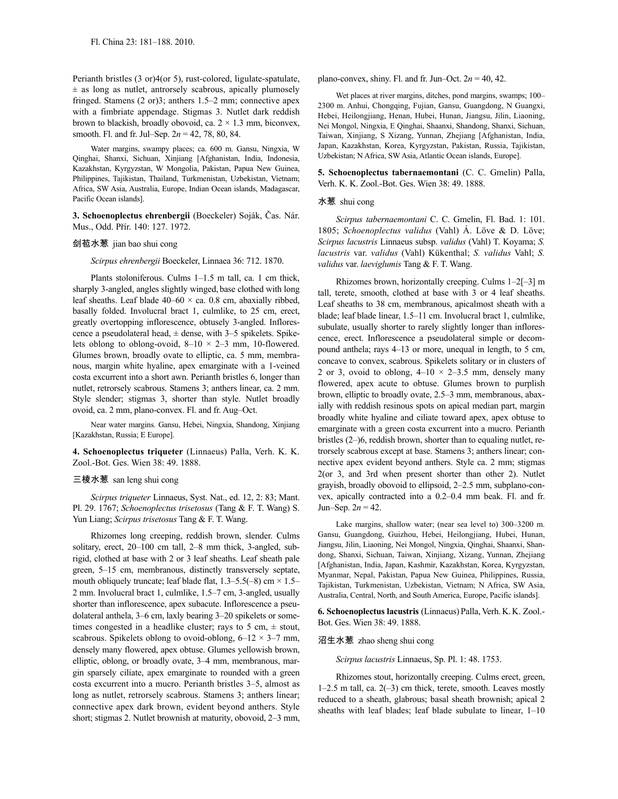Perianth bristles (3 or)4(or 5), rust-colored, ligulate-spatulate,  $\pm$  as long as nutlet, antrorsely scabrous, apically plumosely fringed. Stamens (2 or)3; anthers 1.5–2 mm; connective apex with a fimbriate appendage. Stigmas 3. Nutlet dark reddish brown to blackish, broadly obovoid, ca.  $2 \times 1.3$  mm, biconvex, smooth. Fl. and fr. Jul–Sep. 2*n* = 42, 78, 80, 84.

Water margins, swampy places; ca. 600 m. Gansu, Ningxia, W Qinghai, Shanxi, Sichuan, Xinjiang [Afghanistan, India, Indonesia, Kazakhstan, Kyrgyzstan, W Mongolia, Pakistan, Papua New Guinea, Philippines, Tajikistan, Thailand, Turkmenistan, Uzbekistan, Vietnam; Africa, SW Asia, Australia, Europe, Indian Ocean islands, Madagascar, Pacific Ocean islands].

**3. Schoenoplectus ehrenbergii** (Boeckeler) Soják, Čas. Nár. Mus., Odd. Přír. 140: 127. 1972.

### 剑苞水葱 jian bao shui cong

*Scirpus ehrenbergii* Boeckeler, Linnaea 36: 712. 1870.

Plants stoloniferous. Culms 1–1.5 m tall, ca. 1 cm thick, sharply 3-angled, angles slightly winged, base clothed with long leaf sheaths. Leaf blade  $40-60 \times$  ca. 0.8 cm, abaxially ribbed, basally folded. Involucral bract 1, culmlike, to 25 cm, erect, greatly overtopping inflorescence, obtusely 3-angled. Inflorescence a pseudolateral head,  $\pm$  dense, with 3–5 spikelets. Spikelets oblong to oblong-ovoid,  $8-10 \times 2-3$  mm, 10-flowered. Glumes brown, broadly ovate to elliptic, ca. 5 mm, membranous, margin white hyaline, apex emarginate with a 1-veined costa excurrent into a short awn. Perianth bristles 6, longer than nutlet, retrorsely scabrous. Stamens 3; anthers linear, ca. 2 mm. Style slender; stigmas 3, shorter than style. Nutlet broadly ovoid, ca. 2 mm, plano-convex. Fl. and fr. Aug–Oct.

Near water margins. Gansu, Hebei, Ningxia, Shandong, Xinjiang [Kazakhstan, Russia; E Europe].

**4. Schoenoplectus triqueter** (Linnaeus) Palla, Verh. K. K. Zool.-Bot. Ges. Wien 38: 49. 1888.

#### 三棱水葱 san leng shui cong

*Scirpus triqueter* Linnaeus, Syst. Nat., ed. 12, 2: 83; Mant. Pl. 29. 1767; *Schoenoplectus trisetosus* (Tang & F. T. Wang) S. Yun Liang; *Scirpus trisetosus* Tang & F. T. Wang.

Rhizomes long creeping, reddish brown, slender. Culms solitary, erect, 20–100 cm tall, 2–8 mm thick, 3-angled, subrigid, clothed at base with 2 or 3 leaf sheaths. Leaf sheath pale green, 5–15 cm, membranous, distinctly transversely septate, mouth obliquely truncate; leaf blade flat,  $1.3-5.5(-8)$  cm  $\times$  1.5– 2 mm. Involucral bract 1, culmlike, 1.5–7 cm, 3-angled, usually shorter than inflorescence, apex subacute. Inflorescence a pseudolateral anthela, 3–6 cm, laxly bearing 3–20 spikelets or sometimes congested in a headlike cluster; rays to 5 cm,  $\pm$  stout, scabrous. Spikelets oblong to ovoid-oblong,  $6-12 \times 3-7$  mm, densely many flowered, apex obtuse. Glumes yellowish brown, elliptic, oblong, or broadly ovate, 3–4 mm, membranous, margin sparsely ciliate, apex emarginate to rounded with a green costa excurrent into a mucro. Perianth bristles 3–5, almost as long as nutlet, retrorsely scabrous. Stamens 3; anthers linear; connective apex dark brown, evident beyond anthers. Style short; stigmas 2. Nutlet brownish at maturity, obovoid, 2–3 mm, plano-convex, shiny. Fl. and fr. Jun–Oct.  $2n = 40, 42$ .

Wet places at river margins, ditches, pond margins, swamps; 100– 2300 m. Anhui, Chongqing, Fujian, Gansu, Guangdong, N Guangxi, Hebei, Heilongjiang, Henan, Hubei, Hunan, Jiangsu, Jilin, Liaoning, Nei Mongol, Ningxia, E Qinghai, Shaanxi, Shandong, Shanxi, Sichuan, Taiwan, Xinjiang, S Xizang, Yunnan, Zhejiang [Afghanistan, India, Japan, Kazakhstan, Korea, Kyrgyzstan, Pakistan, Russia, Tajikistan, Uzbekistan; N Africa, SW Asia, Atlantic Ocean islands, Europe].

**5. Schoenoplectus tabernaemontani** (C. C. Gmelin) Palla, Verh. K. K. Zool.-Bot. Ges. Wien 38: 49. 1888.

#### 水葱 shui cong

*Scirpus tabernaemontani* C. C. Gmelin, Fl. Bad. 1: 101. 1805; *Schoenoplectus validus* (Vahl) Á. Löve & D. Löve; *Scirpus lacustris* Linnaeus subsp. *validus* (Vahl) T. Koyama; *S. lacustris* var. *validus* (Vahl) Kükenthal; *S. validus* Vahl; *S. validus* var. *laeviglumis* Tang & F. T. Wang.

Rhizomes brown, horizontally creeping. Culms 1–2[–3] m tall, terete, smooth, clothed at base with 3 or 4 leaf sheaths. Leaf sheaths to 38 cm, membranous, apicalmost sheath with a blade; leaf blade linear, 1.5–11 cm. Involucral bract 1, culmlike, subulate, usually shorter to rarely slightly longer than inflorescence, erect. Inflorescence a pseudolateral simple or decompound anthela; rays 4–13 or more, unequal in length, to 5 cm, concave to convex, scabrous. Spikelets solitary or in clusters of 2 or 3, ovoid to oblong,  $4-10 \times 2-3.5$  mm, densely many flowered, apex acute to obtuse. Glumes brown to purplish brown, elliptic to broadly ovate, 2.5–3 mm, membranous, abaxially with reddish resinous spots on apical median part, margin broadly white hyaline and ciliate toward apex, apex obtuse to emarginate with a green costa excurrent into a mucro. Perianth bristles (2–)6, reddish brown, shorter than to equaling nutlet, retrorsely scabrous except at base. Stamens 3; anthers linear; connective apex evident beyond anthers. Style ca. 2 mm; stigmas 2(or 3, and 3rd when present shorter than other 2). Nutlet grayish, broadly obovoid to ellipsoid, 2–2.5 mm, subplano-convex, apically contracted into a 0.2–0.4 mm beak. Fl. and fr. Jun–Sep.  $2n = 42$ .

Lake margins, shallow water; (near sea level to) 300–3200 m. Gansu, Guangdong, Guizhou, Hebei, Heilongjiang, Hubei, Hunan, Jiangsu, Jilin, Liaoning, Nei Mongol, Ningxia, Qinghai, Shaanxi, Shandong, Shanxi, Sichuan, Taiwan, Xinjiang, Xizang, Yunnan, Zhejiang [Afghanistan, India, Japan, Kashmir, Kazakhstan, Korea, Kyrgyzstan, Myanmar, Nepal, Pakistan, Papua New Guinea, Philippines, Russia, Tajikistan, Turkmenistan, Uzbekistan, Vietnam; N Africa, SW Asia, Australia, Central, North, and South America, Europe, Pacific islands].

**6. Schoenoplectus lacustris** (Linnaeus) Palla,Verh.K.K. Zool.- Bot. Ges. Wien 38: 49. 1888.

#### 沼生水葱 zhao sheng shui cong

*Scirpus lacustris* Linnaeus, Sp. Pl. 1: 48. 1753.

Rhizomes stout, horizontally creeping. Culms erect, green, 1–2.5 m tall, ca. 2(–3) cm thick, terete, smooth. Leaves mostly reduced to a sheath, glabrous; basal sheath brownish; apical 2 sheaths with leaf blades; leaf blade subulate to linear, 1–10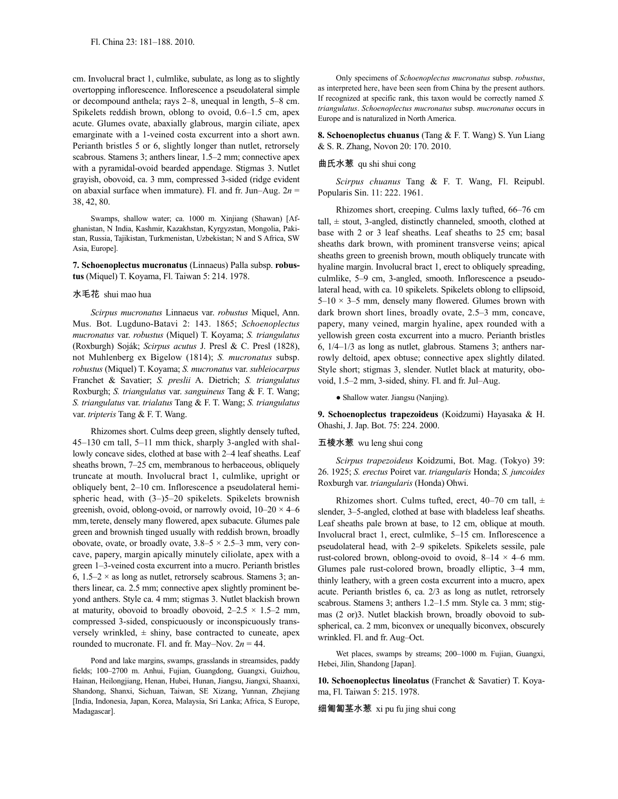cm. Involucral bract 1, culmlike, subulate, as long as to slightly overtopping inflorescence. Inflorescence a pseudolateral simple or decompound anthela; rays 2–8, unequal in length, 5–8 cm. Spikelets reddish brown, oblong to ovoid, 0.6–1.5 cm, apex acute. Glumes ovate, abaxially glabrous, margin ciliate, apex emarginate with a 1-veined costa excurrent into a short awn. Perianth bristles 5 or 6, slightly longer than nutlet, retrorsely scabrous. Stamens 3; anthers linear, 1.5–2 mm; connective apex with a pyramidal-ovoid bearded appendage. Stigmas 3. Nutlet grayish, obovoid, ca. 3 mm, compressed 3-sided (ridge evident on abaxial surface when immature). Fl. and fr. Jun–Aug.  $2n =$ 38, 42, 80.

Swamps, shallow water; ca. 1000 m. Xinjiang (Shawan) [Afghanistan, N India, Kashmir, Kazakhstan, Kyrgyzstan, Mongolia, Pakistan, Russia, Tajikistan, Turkmenistan, Uzbekistan; N and S Africa, SW Asia, Europe].

### **7. Schoenoplectus mucronatus** (Linnaeus) Palla subsp. **robustus** (Miquel) T. Koyama, Fl. Taiwan 5: 214. 1978.

#### 水毛花 shui mao hua

*Scirpus mucronatus* Linnaeus var. *robustus* Miquel, Ann. Mus. Bot. Lugduno-Batavi 2: 143. 1865; *Schoenoplectus mucronatus* var. *robustus* (Miquel) T. Koyama; *S. triangulatus* (Roxburgh) Soják; *Scirpus acutus* J. Presl & C. Presl (1828), not Muhlenberg ex Bigelow (1814); *S. mucronatus* subsp. *robustus* (Miquel) T. Koyama; *S. mucronatus* var. *subleiocarpus* Franchet & Savatier; *S. preslii* A. Dietrich; *S. triangulatus* Roxburgh; *S. triangulatus* var. *sanguineus* Tang & F. T. Wang; *S. triangulatus* var. *trialatus* Tang & F. T. Wang; *S. triangulatus* var. *tripteris* Tang & F. T. Wang.

Rhizomes short. Culms deep green, slightly densely tufted, 45–130 cm tall, 5–11 mm thick, sharply 3-angled with shallowly concave sides, clothed at base with 2–4 leaf sheaths. Leaf sheaths brown, 7–25 cm, membranous to herbaceous, obliquely truncate at mouth. Involucral bract 1, culmlike, upright or obliquely bent, 2–10 cm. Inflorescence a pseudolateral hemispheric head, with (3–)5–20 spikelets. Spikelets brownish greenish, ovoid, oblong-ovoid, or narrowly ovoid,  $10-20 \times 4-6$ mm,terete, densely many flowered, apex subacute. Glumes pale green and brownish tinged usually with reddish brown, broadly obovate, ovate, or broadly ovate,  $3.8-5 \times 2.5-3$  mm, very concave, papery, margin apically minutely ciliolate, apex with a green 1–3-veined costa excurrent into a mucro. Perianth bristles 6,  $1.5-2 \times$  as long as nutlet, retrorsely scabrous. Stamens 3; anthers linear, ca. 2.5 mm; connective apex slightly prominent beyond anthers. Style ca. 4 mm; stigmas 3. Nutlet blackish brown at maturity, obovoid to broadly obovoid,  $2-2.5 \times 1.5-2$  mm, compressed 3-sided, conspicuously or inconspicuously transversely wrinkled,  $\pm$  shiny, base contracted to cuneate, apex rounded to mucronate. Fl. and fr. May–Nov.  $2n = 44$ .

Pond and lake margins, swamps, grasslands in streamsides, paddy fields; 100–2700 m. Anhui, Fujian, Guangdong, Guangxi, Guizhou, Hainan, Heilongjiang, Henan, Hubei, Hunan, Jiangsu, Jiangxi, Shaanxi, Shandong, Shanxi, Sichuan, Taiwan, SE Xizang, Yunnan, Zhejiang [India, Indonesia, Japan, Korea, Malaysia, Sri Lanka; Africa, S Europe, Madagascar].

Only specimens of *Schoenoplectus mucronatus* subsp. *robustus*, as interpreted here, have been seen from China by the present authors. If recognized at specific rank, this taxon would be correctly named *S. triangulatus*. *Schoenoplectus mucronatus* subsp. *mucronatus* occurs in Europe and is naturalized in North America.

**8. Schoenoplectus chuanus** (Tang & F. T. Wang) S. Yun Liang & S. R. Zhang, Novon 20: 170. 2010.

#### 曲氏水葱 qu shi shui cong

*Scirpus chuanus* Tang & F. T. Wang, Fl. Reipubl. Popularis Sin. 11: 222. 1961.

Rhizomes short, creeping. Culms laxly tufted, 66–76 cm tall,  $\pm$  stout, 3-angled, distinctly channeled, smooth, clothed at base with 2 or 3 leaf sheaths. Leaf sheaths to 25 cm; basal sheaths dark brown, with prominent transverse veins; apical sheaths green to greenish brown, mouth obliquely truncate with hyaline margin. Involucral bract 1, erect to obliquely spreading, culmlike, 5–9 cm, 3-angled, smooth. Inflorescence a pseudolateral head, with ca. 10 spikelets. Spikelets oblong to ellipsoid,  $5-10 \times 3-5$  mm, densely many flowered. Glumes brown with dark brown short lines, broadly ovate, 2.5–3 mm, concave, papery, many veined, margin hyaline, apex rounded with a yellowish green costa excurrent into a mucro. Perianth bristles 6, 1/4–1/3 as long as nutlet, glabrous. Stamens 3; anthers narrowly deltoid, apex obtuse; connective apex slightly dilated. Style short; stigmas 3, slender. Nutlet black at maturity, obovoid, 1.5–2 mm, 3-sided, shiny. Fl. and fr. Jul–Aug.

#### • Shallow water. Jiangsu (Nanjing).

**9. Schoenoplectus trapezoideus** (Koidzumi) Hayasaka & H. Ohashi, J. Jap. Bot. 75: 224. 2000.

### 五棱水葱 wu leng shui cong

*Scirpus trapezoideus* Koidzumi, Bot. Mag. (Tokyo) 39: 26. 1925; *S. erectus* Poiret var. *triangularis* Honda; *S. juncoides* Roxburgh var. *triangularis* (Honda) Ohwi.

Rhizomes short. Culms tufted, erect, 40–70 cm tall,  $\pm$ slender, 3–5-angled, clothed at base with bladeless leaf sheaths. Leaf sheaths pale brown at base, to 12 cm, oblique at mouth. Involucral bract 1, erect, culmlike, 5–15 cm. Inflorescence a pseudolateral head, with 2–9 spikelets. Spikelets sessile, pale rust-colored brown, oblong-ovoid to ovoid,  $8-14 \times 4-6$  mm. Glumes pale rust-colored brown, broadly elliptic, 3–4 mm, thinly leathery, with a green costa excurrent into a mucro, apex acute. Perianth bristles 6, ca. 2/3 as long as nutlet, retrorsely scabrous. Stamens 3; anthers 1.2–1.5 mm. Style ca. 3 mm; stigmas (2 or)3. Nutlet blackish brown, broadly obovoid to subspherical, ca. 2 mm, biconvex or unequally biconvex, obscurely wrinkled. Fl. and fr. Aug–Oct.

Wet places, swamps by streams; 200–1000 m. Fujian, Guangxi, Hebei, Jilin, Shandong [Japan].

**10. Schoenoplectus lineolatus** (Franchet & Savatier) T. Koyama, Fl. Taiwan 5: 215. 1978.

细匍匐茎水葱 xi pu fu jing shui cong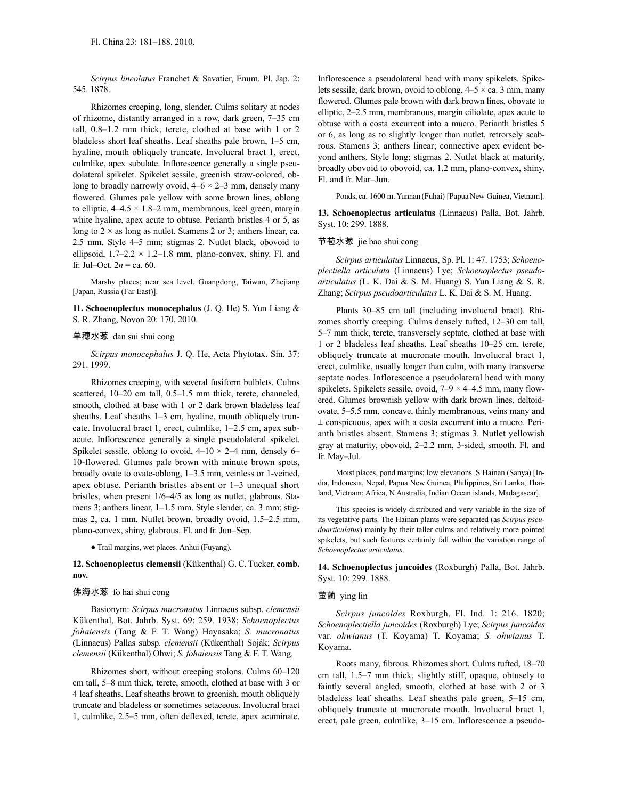*Scirpus lineolatus* Franchet & Savatier, Enum. Pl. Jap. 2: 545. 1878.

Rhizomes creeping, long, slender. Culms solitary at nodes of rhizome, distantly arranged in a row, dark green, 7–35 cm tall, 0.8–1.2 mm thick, terete, clothed at base with 1 or 2 bladeless short leaf sheaths. Leaf sheaths pale brown, 1–5 cm, hyaline, mouth obliquely truncate. Involucral bract 1, erect, culmlike, apex subulate. Inflorescence generally a single pseudolateral spikelet. Spikelet sessile, greenish straw-colored, oblong to broadly narrowly ovoid,  $4-6 \times 2-3$  mm, densely many flowered. Glumes pale yellow with some brown lines, oblong to elliptic, 4–4.5 × 1.8–2 mm, membranous, keel green, margin white hyaline, apex acute to obtuse. Perianth bristles 4 or 5, as long to  $2 \times$  as long as nutlet. Stamens 2 or 3; anthers linear, ca. 2.5 mm. Style 4–5 mm; stigmas 2. Nutlet black, obovoid to ellipsoid,  $1.7-2.2 \times 1.2-1.8$  mm, plano-convex, shiny. Fl. and fr. Jul–Oct.  $2n = ca. 60$ .

Marshy places; near sea level. Guangdong, Taiwan, Zhejiang [Japan, Russia (Far East)].

**11. Schoenoplectus monocephalus** (J. Q. He) S. Yun Liang & S. R. Zhang, Novon 20: 170. 2010.

#### 单穗水葱 dan sui shui cong

*Scirpus monocephalus* J. Q. He, Acta Phytotax. Sin. 37: 291. 1999.

Rhizomes creeping, with several fusiform bulblets. Culms scattered, 10–20 cm tall, 0.5–1.5 mm thick, terete, channeled, smooth, clothed at base with 1 or 2 dark brown bladeless leaf sheaths. Leaf sheaths 1-3 cm, hyaline, mouth obliquely truncate. Involucral bract 1, erect, culmlike, 1–2.5 cm, apex subacute. Inflorescence generally a single pseudolateral spikelet. Spikelet sessile, oblong to ovoid,  $4-10 \times 2-4$  mm, densely 6– 10-flowered. Glumes pale brown with minute brown spots, broadly ovate to ovate-oblong, 1–3.5 mm, veinless or 1-veined, apex obtuse. Perianth bristles absent or 1–3 unequal short bristles, when present 1/6–4/5 as long as nutlet, glabrous. Stamens 3; anthers linear, 1–1.5 mm. Style slender, ca. 3 mm; stigmas 2, ca. 1 mm. Nutlet brown, broadly ovoid, 1.5–2.5 mm, plano-convex, shiny, glabrous. Fl. and fr. Jun–Sep.

● Trail margins, wet places. Anhui (Fuyang).

### **12. Schoenoplectus clemensii** (Kükenthal) G. C. Tucker, **comb. nov.**

#### 佛海水葱 fo hai shui cong

Basionym: *Scirpus mucronatus* Linnaeus subsp. *clemensii* Kükenthal, Bot. Jahrb. Syst. 69: 259. 1938; *Schoenoplectus fohaiensis* (Tang & F. T. Wang) Hayasaka; *S. mucronatus* (Linnaeus) Pallas subsp. *clemensii* (Kükenthal) Soják; *Scirpus clemensii* (Kükenthal) Ohwi; *S. fohaiensis* Tang & F. T. Wang.

Rhizomes short, without creeping stolons. Culms 60–120 cm tall, 5–8 mm thick, terete, smooth, clothed at base with 3 or 4 leaf sheaths. Leaf sheaths brown to greenish, mouth obliquely truncate and bladeless or sometimes setaceous. Involucral bract 1, culmlike, 2.5–5 mm, often deflexed, terete, apex acuminate. Inflorescence a pseudolateral head with many spikelets. Spikelets sessile, dark brown, ovoid to oblong,  $4-5 \times$  ca. 3 mm, many flowered. Glumes pale brown with dark brown lines, obovate to elliptic, 2–2.5 mm, membranous, margin ciliolate, apex acute to obtuse with a costa excurrent into a mucro. Perianth bristles 5 or 6, as long as to slightly longer than nutlet, retrorsely scabrous. Stamens 3; anthers linear; connective apex evident beyond anthers. Style long; stigmas 2. Nutlet black at maturity, broadly obovoid to obovoid, ca. 1.2 mm, plano-convex, shiny. Fl. and fr. Mar–Jun.

Ponds; ca. 1600 m. Yunnan (Fuhai) [Papua New Guinea, Vietnam].

**13. Schoenoplectus articulatus** (Linnaeus) Palla, Bot. Jahrb. Syst. 10: 299. 1888.

#### 节苞水葱 jie bao shui cong

*Scirpus articulatus* Linnaeus, Sp. Pl. 1: 47. 1753; *Schoenoplectiella articulata* (Linnaeus) Lye; *Schoenoplectus pseudoarticulatus* (L. K. Dai & S. M. Huang) S. Yun Liang & S. R. Zhang; *Scirpus pseudoarticulatus* L. K. Dai & S. M. Huang.

Plants 30–85 cm tall (including involucral bract). Rhizomes shortly creeping. Culms densely tufted, 12–30 cm tall, 5–7 mm thick, terete, transversely septate, clothed at base with 1 or 2 bladeless leaf sheaths. Leaf sheaths 10–25 cm, terete, obliquely truncate at mucronate mouth. Involucral bract 1, erect, culmlike, usually longer than culm, with many transverse septate nodes. Inflorescence a pseudolateral head with many spikelets. Spikelets sessile, ovoid,  $7-9 \times 4-4.5$  mm, many flowered. Glumes brownish yellow with dark brown lines, deltoidovate, 5–5.5 mm, concave, thinly membranous, veins many and  $\pm$  conspicuous, apex with a costa excurrent into a mucro. Perianth bristles absent. Stamens 3; stigmas 3. Nutlet yellowish gray at maturity, obovoid, 2–2.2 mm, 3-sided, smooth. Fl. and fr. May–Jul.

Moist places, pond margins; low elevations. S Hainan (Sanya) [India, Indonesia, Nepal, Papua New Guinea, Philippines, Sri Lanka, Thailand, Vietnam; Africa, N Australia, Indian Ocean islands, Madagascar].

This species is widely distributed and very variable in the size of its vegetative parts. The Hainan plants were separated (as *Scirpus pseudoarticulatus*) mainly by their taller culms and relatively more pointed spikelets, but such features certainly fall within the variation range of *Schoenoplectus articulatus*.

**14. Schoenoplectus juncoides** (Roxburgh) Palla, Bot. Jahrb. Syst. 10: 299. 1888.

#### 萤蔺 ying lin

*Scirpus juncoides* Roxburgh, Fl. Ind. 1: 216. 1820; *Schoenoplectiella juncoides* (Roxburgh) Lye; *Scirpus juncoides* var. *ohwianus* (T. Koyama) T. Koyama; *S. ohwianus* T. Koyama.

Roots many, fibrous. Rhizomes short. Culms tufted, 18–70 cm tall, 1.5–7 mm thick, slightly stiff, opaque, obtusely to faintly several angled, smooth, clothed at base with 2 or 3 bladeless leaf sheaths. Leaf sheaths pale green, 5–15 cm, obliquely truncate at mucronate mouth. Involucral bract 1, erect, pale green, culmlike, 3–15 cm. Inflorescence a pseudo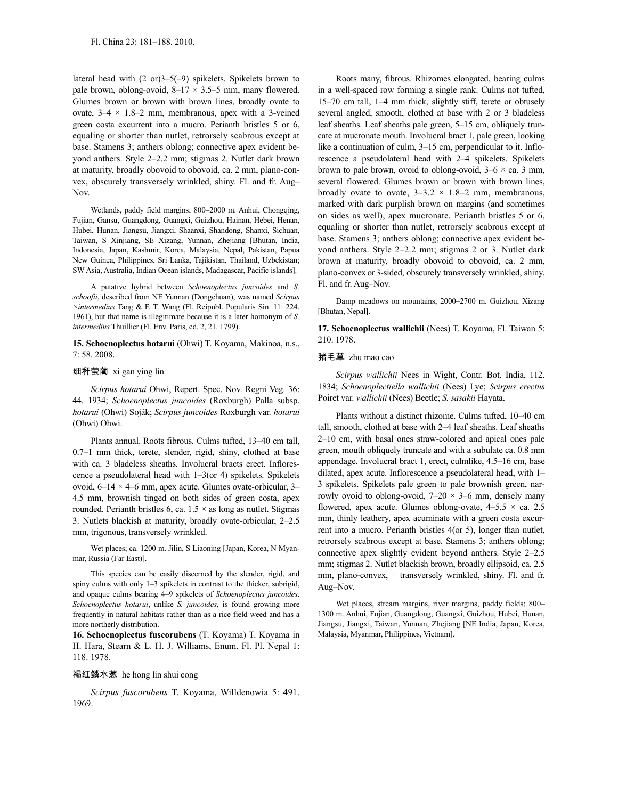lateral head with (2 or)3–5(–9) spikelets. Spikelets brown to pale brown, oblong-ovoid,  $8-17 \times 3.5-5$  mm, many flowered. Glumes brown or brown with brown lines, broadly ovate to ovate,  $3-4 \times 1.8-2$  mm, membranous, apex with a 3-veined green costa excurrent into a mucro. Perianth bristles 5 or 6, equaling or shorter than nutlet, retrorsely scabrous except at base. Stamens 3; anthers oblong; connective apex evident beyond anthers. Style 2–2.2 mm; stigmas 2. Nutlet dark brown at maturity, broadly obovoid to obovoid, ca. 2 mm, plano-convex, obscurely transversely wrinkled, shiny. Fl. and fr. Aug– Nov.

Wetlands, paddy field margins; 800–2000 m. Anhui, Chongqing, Fujian, Gansu, Guangdong, Guangxi, Guizhou, Hainan, Hebei, Henan, Hubei, Hunan, Jiangsu, Jiangxi, Shaanxi, Shandong, Shanxi, Sichuan, Taiwan, S Xinjiang, SE Xizang, Yunnan, Zhejiang [Bhutan, India, Indonesia, Japan, Kashmir, Korea, Malaysia, Nepal, Pakistan, Papua New Guinea, Philippines, Sri Lanka, Tajikistan, Thailand, Uzbekistan; SW Asia, Australia, Indian Ocean islands, Madagascar, Pacific islands].

A putative hybrid between *Schoenoplectus juncoides* and *S. schoofii*, described from NE Yunnan (Dongchuan), was named *Scirpus ×intermedius* Tang & F. T. Wang (Fl. Reipubl. Popularis Sin. 11: 224. 1961), but that name is illegitimate because it is a later homonym of *S. intermedius* Thuillier (Fl. Env. Paris, ed. 2, 21. 1799).

**15. Schoenoplectus hotarui** (Ohwi) T. Koyama, Makinoa, n.s., 7: 58. 2008.

#### 细秆萤蔺 xi gan ying lin

*Scirpus hotarui* Ohwi, Repert. Spec. Nov. Regni Veg. 36: 44. 1934; *Schoenoplectus juncoides* (Roxburgh) Palla subsp. *hotarui* (Ohwi) Soják; *Scirpus juncoides* Roxburgh var. *hotarui* (Ohwi) Ohwi.

Plants annual. Roots fibrous. Culms tufted, 13–40 cm tall, 0.7–1 mm thick, terete, slender, rigid, shiny, clothed at base with ca. 3 bladeless sheaths. Involucral bracts erect. Inflorescence a pseudolateral head with 1–3(or 4) spikelets. Spikelets ovoid, 6–14 × 4–6 mm, apex acute. Glumes ovate-orbicular, 3– 4.5 mm, brownish tinged on both sides of green costa, apex rounded. Perianth bristles 6, ca.  $1.5 \times$  as long as nutlet. Stigmas 3. Nutlets blackish at maturity, broadly ovate-orbicular, 2–2.5 mm, trigonous, transversely wrinkled.

Wet places; ca. 1200 m. Jilin, S Liaoning [Japan, Korea, N Myanmar, Russia (Far East)].

This species can be easily discerned by the slender, rigid, and spiny culms with only 1–3 spikelets in contrast to the thicker, subrigid, and opaque culms bearing 4–9 spikelets of *Schoenoplectus juncoides*. *Schoenoplectus hotarui*, unlike *S. juncoides*, is found growing more frequently in natural habitats rather than as a rice field weed and has a more northerly distribution.

**16. Schoenoplectus fuscorubens** (T. Koyama) T. Koyama in H. Hara, Stearn & L. H. J. Williams, Enum. Fl. Pl. Nepal 1: 118. 1978.

#### 褐红鳞水葱 he hong lin shui cong

*Scirpus fuscorubens* T. Koyama, Willdenowia 5: 491. 1969.

Roots many, fibrous. Rhizomes elongated, bearing culms in a well-spaced row forming a single rank. Culms not tufted, 15–70 cm tall, 1–4 mm thick, slightly stiff, terete or obtusely several angled, smooth, clothed at base with 2 or 3 bladeless leaf sheaths. Leaf sheaths pale green, 5–15 cm, obliquely truncate at mucronate mouth. Involucral bract 1, pale green, looking like a continuation of culm,  $3-15$  cm, perpendicular to it. Inflorescence a pseudolateral head with 2–4 spikelets. Spikelets brown to pale brown, ovoid to oblong-ovoid,  $3-6 \times$  ca. 3 mm, several flowered. Glumes brown or brown with brown lines, broadly ovate to ovate,  $3-3.2 \times 1.8-2$  mm, membranous, marked with dark purplish brown on margins (and sometimes on sides as well), apex mucronate. Perianth bristles 5 or 6, equaling or shorter than nutlet, retrorsely scabrous except at base. Stamens 3; anthers oblong; connective apex evident beyond anthers. Style 2–2.2 mm; stigmas 2 or 3. Nutlet dark brown at maturity, broadly obovoid to obovoid, ca. 2 mm, plano-convex or 3-sided, obscurely transversely wrinkled, shiny. Fl. and fr. Aug–Nov.

Damp meadows on mountains; 2000–2700 m. Guizhou, Xizang [Bhutan, Nepal].

**17. Schoenoplectus wallichii** (Nees) T. Koyama, Fl. Taiwan 5: 210. 1978.

#### 猪毛草 zhu mao cao

*Scirpus wallichii* Nees in Wight, Contr. Bot. India, 112. 1834; *Schoenoplectiella wallichii* (Nees) Lye; *Scirpus erectus* Poiret var. *wallichii* (Nees) Beetle; *S. sasakii* Hayata.

Plants without a distinct rhizome. Culms tufted, 10–40 cm tall, smooth, clothed at base with 2–4 leaf sheaths. Leaf sheaths 2–10 cm, with basal ones straw-colored and apical ones pale green, mouth obliquely truncate and with a subulate ca. 0.8 mm appendage. Involucral bract 1, erect, culmlike, 4.5–16 cm, base dilated, apex acute. Inflorescence a pseudolateral head, with 1– 3 spikelets. Spikelets pale green to pale brownish green, narrowly ovoid to oblong-ovoid,  $7-20 \times 3-6$  mm, densely many flowered, apex acute. Glumes oblong-ovate,  $4-5.5 \times$  ca. 2.5 mm, thinly leathery, apex acuminate with a green costa excurrent into a mucro. Perianth bristles 4(or 5), longer than nutlet, retrorsely scabrous except at base. Stamens 3; anthers oblong; connective apex slightly evident beyond anthers. Style 2–2.5 mm; stigmas 2. Nutlet blackish brown, broadly ellipsoid, ca. 2.5 mm, plano-convex,  $\pm$  transversely wrinkled, shiny. Fl. and fr. Aug–Nov.

Wet places, stream margins, river margins, paddy fields; 800– 1300 m. Anhui, Fujian, Guangdong, Guangxi, Guizhou, Hubei, Hunan, Jiangsu, Jiangxi, Taiwan, Yunnan, Zhejiang [NE India, Japan, Korea, Malaysia, Myanmar, Philippines, Vietnam].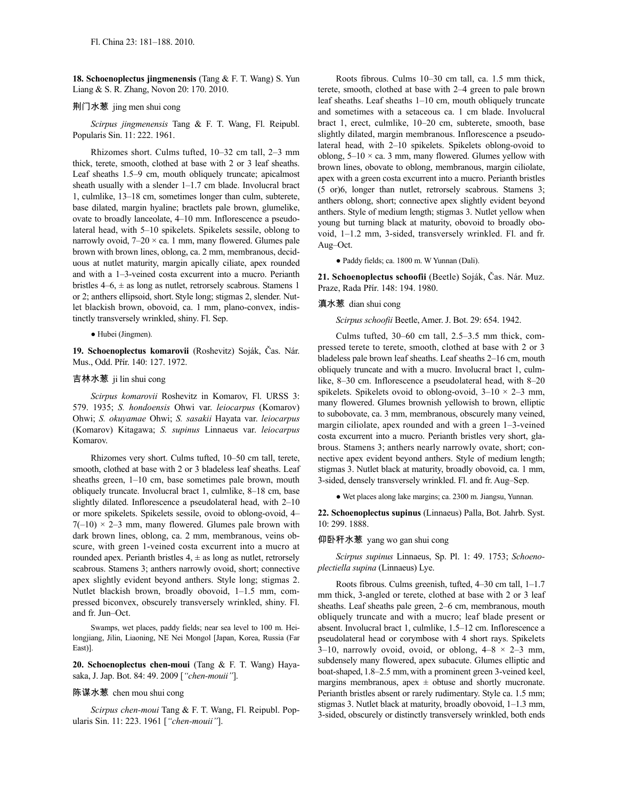**18. Schoenoplectus jingmenensis** (Tang & F. T. Wang) S. Yun Liang & S. R. Zhang, Novon 20: 170. 2010.

### 荆门水葱 jing men shui cong

*Scirpus jingmenensis* Tang & F. T. Wang, Fl. Reipubl. Popularis Sin. 11: 222. 1961.

Rhizomes short. Culms tufted, 10–32 cm tall, 2–3 mm thick, terete, smooth, clothed at base with 2 or 3 leaf sheaths. Leaf sheaths 1.5–9 cm, mouth obliquely truncate; apicalmost sheath usually with a slender 1–1.7 cm blade. Involucral bract 1, culmlike, 13–18 cm, sometimes longer than culm, subterete, base dilated, margin hyaline; bractlets pale brown, glumelike, ovate to broadly lanceolate, 4–10 mm. Inflorescence a pseudolateral head, with 5–10 spikelets. Spikelets sessile, oblong to narrowly ovoid,  $7-20 \times$  ca. 1 mm, many flowered. Glumes pale brown with brown lines, oblong, ca. 2 mm, membranous, deciduous at nutlet maturity, margin apically ciliate, apex rounded and with a 1–3-veined costa excurrent into a mucro. Perianth bristles  $4-6$ ,  $\pm$  as long as nutlet, retrorsely scabrous. Stamens 1 or 2; anthers ellipsoid, short. Style long; stigmas 2, slender. Nutlet blackish brown, obovoid, ca. 1 mm, plano-convex, indistinctly transversely wrinkled, shiny. Fl. Sep.

● Hubei (Jingmen).

**19. Schoenoplectus komarovii** (Roshevitz) Soják, Čas. Nár. Mus., Odd. Přír. 140: 127. 1972.

## 吉林水葱 ji lin shui cong

*Scirpus komarovii* Roshevitz in Komarov, Fl. URSS 3: 579. 1935; *S. hondoensis* Ohwi var. *leiocarpus* (Komarov) Ohwi; *S. okuyamae* Ohwi; *S. sasakii* Hayata var. *leiocarpus* (Komarov) Kitagawa; *S. supinus* Linnaeus var. *leiocarpus* Komarov.

Rhizomes very short. Culms tufted, 10–50 cm tall, terete, smooth, clothed at base with 2 or 3 bladeless leaf sheaths. Leaf sheaths green, 1–10 cm, base sometimes pale brown, mouth obliquely truncate. Involucral bract 1, culmlike, 8–18 cm, base slightly dilated. Inflorescence a pseudolateral head, with 2–10 or more spikelets. Spikelets sessile, ovoid to oblong-ovoid, 4–  $7(-10) \times 2-3$  mm, many flowered. Glumes pale brown with dark brown lines, oblong, ca. 2 mm, membranous, veins obscure, with green 1-veined costa excurrent into a mucro at rounded apex. Perianth bristles  $4, \pm$  as long as nutlet, retrorsely scabrous. Stamens 3; anthers narrowly ovoid, short; connective apex slightly evident beyond anthers. Style long; stigmas 2. Nutlet blackish brown, broadly obovoid, 1–1.5 mm, compressed biconvex, obscurely transversely wrinkled, shiny. Fl. and fr. Jun–Oct.

Swamps, wet places, paddy fields; near sea level to 100 m. Heilongjiang, Jilin, Liaoning, NE Nei Mongol [Japan, Korea, Russia (Far East)].

**20. Schoenoplectus chen-moui** (Tang & F. T. Wang) Hayasaka, J. Jap. Bot. 84: 49. 2009 [*"chen-mouii"*].

### 陈谋水葱 chen mou shui cong

*Scirpus chen-moui* Tang & F. T. Wang, Fl. Reipubl. Popularis Sin. 11: 223. 1961 [*"chen-mouii"*].

Roots fibrous. Culms 10–30 cm tall, ca. 1.5 mm thick, terete, smooth, clothed at base with 2–4 green to pale brown leaf sheaths. Leaf sheaths 1–10 cm, mouth obliquely truncate and sometimes with a setaceous ca. 1 cm blade. Involucral bract 1, erect, culmlike, 10–20 cm, subterete, smooth, base slightly dilated, margin membranous. Inflorescence a pseudolateral head, with 2–10 spikelets. Spikelets oblong-ovoid to oblong,  $5-10 \times$  ca. 3 mm, many flowered. Glumes yellow with brown lines, obovate to oblong, membranous, margin ciliolate, apex with a green costa excurrent into a mucro. Perianth bristles (5 or)6, longer than nutlet, retrorsely scabrous. Stamens 3; anthers oblong, short; connective apex slightly evident beyond anthers. Style of medium length; stigmas 3. Nutlet yellow when young but turning black at maturity, obovoid to broadly obovoid, 1–1.2 mm, 3-sided, transversely wrinkled. Fl. and fr. Aug–Oct.

● Paddy fields; ca. 1800 m. W Yunnan (Dali).

**21. Schoenoplectus schoofii** (Beetle) Soják, Čas. Nár. Muz. Praze, Rada Přír. 148: 194. 1980.

### 滇水葱 dian shui cong

*Scirpus schoofii* Beetle, Amer. J. Bot. 29: 654. 1942.

Culms tufted, 30–60 cm tall, 2.5–3.5 mm thick, compressed terete to terete, smooth, clothed at base with 2 or 3 bladeless pale brown leaf sheaths. Leaf sheaths 2–16 cm, mouth obliquely truncate and with a mucro. Involucral bract 1, culmlike, 8–30 cm. Inflorescence a pseudolateral head, with 8–20 spikelets. Spikelets ovoid to oblong-ovoid,  $3-10 \times 2-3$  mm, many flowered. Glumes brownish yellowish to brown, elliptic to subobovate, ca. 3 mm, membranous, obscurely many veined, margin ciliolate, apex rounded and with a green 1–3-veined costa excurrent into a mucro. Perianth bristles very short, glabrous. Stamens 3; anthers nearly narrowly ovate, short; connective apex evident beyond anthers. Style of medium length; stigmas 3. Nutlet black at maturity, broadly obovoid, ca. 1 mm, 3-sided, densely transversely wrinkled. Fl. and fr. Aug–Sep.

● Wet places along lake margins; ca. 2300 m. Jiangsu, Yunnan.

**22. Schoenoplectus supinus** (Linnaeus) Palla, Bot. Jahrb. Syst. 10: 299. 1888.

#### 仰卧秆水葱 yang wo gan shui cong

*Scirpus supinus* Linnaeus, Sp. Pl. 1: 49. 1753; *Schoenoplectiella supina* (Linnaeus) Lye.

Roots fibrous. Culms greenish, tufted, 4–30 cm tall, 1–1.7 mm thick, 3-angled or terete, clothed at base with 2 or 3 leaf sheaths. Leaf sheaths pale green, 2–6 cm, membranous, mouth obliquely truncate and with a mucro; leaf blade present or absent. Involucral bract 1, culmlike, 1.5–12 cm. Inflorescence a pseudolateral head or corymbose with 4 short rays. Spikelets 3–10, narrowly ovoid, ovoid, or oblong,  $4-8 \times 2-3$  mm, subdensely many flowered, apex subacute. Glumes elliptic and boat-shaped, 1.8–2.5 mm, with a prominent green 3-veined keel, margins membranous, apex  $\pm$  obtuse and shortly mucronate. Perianth bristles absent or rarely rudimentary. Style ca. 1.5 mm; stigmas 3. Nutlet black at maturity, broadly obovoid, 1–1.3 mm, 3-sided, obscurely or distinctly transversely wrinkled, both ends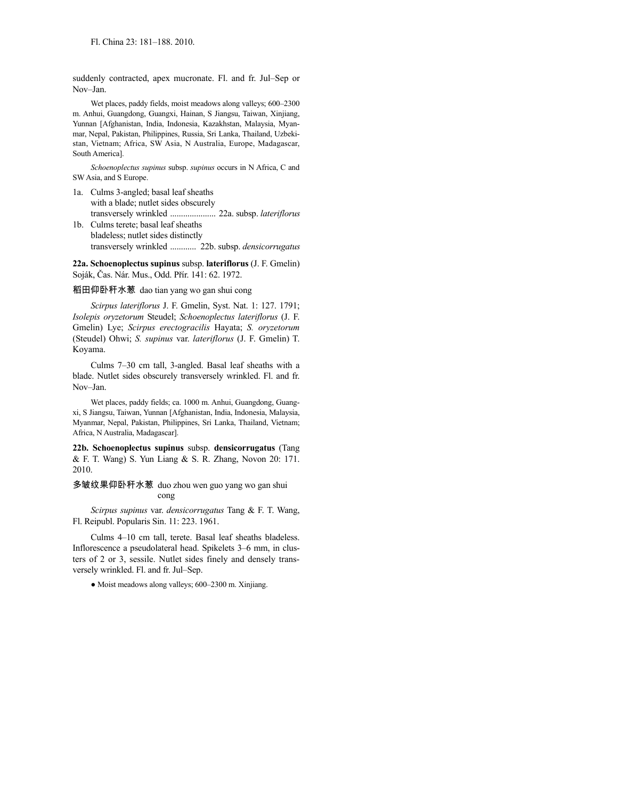suddenly contracted, apex mucronate. Fl. and fr. Jul–Sep or Nov–Jan.

Wet places, paddy fields, moist meadows along valleys; 600–2300 m. Anhui, Guangdong, Guangxi, Hainan, S Jiangsu, Taiwan, Xinjiang, Yunnan [Afghanistan, India, Indonesia, Kazakhstan, Malaysia, Myanmar, Nepal, Pakistan, Philippines, Russia, Sri Lanka, Thailand, Uzbekistan, Vietnam; Africa, SW Asia, N Australia, Europe, Madagascar, South America].

*Schoenoplectus supinus* subsp. *supinus* occurs in N Africa, C and SW Asia, and S Europe.

- 1a. Culms 3-angled; basal leaf sheaths with a blade; nutlet sides obscurely transversely wrinkled ..................... 22a. subsp. *lateriflorus*
- 1b. Culms terete; basal leaf sheaths bladeless; nutlet sides distinctly transversely wrinkled ............ 22b. subsp. *densicorrugatus*

**22a. Schoenoplectus supinus** subsp. **lateriflorus** (J. F. Gmelin) Soják, Čas. Nár. Mus., Odd. Přír. 141: 62. 1972.

稻田仰卧秆水葱 dao tian yang wo gan shui cong

*Scirpus lateriflorus* J. F. Gmelin, Syst. Nat. 1: 127. 1791; *Isolepis oryzetorum* Steudel; *Schoenoplectus lateriflorus* (J. F. Gmelin) Lye; *Scirpus erectogracilis* Hayata; *S. oryzetorum* (Steudel) Ohwi; *S. supinus* var. *lateriflorus* (J. F. Gmelin) T. Koyama.

Culms 7–30 cm tall, 3-angled. Basal leaf sheaths with a blade. Nutlet sides obscurely transversely wrinkled. Fl. and fr. Nov–Jan.

Wet places, paddy fields; ca. 1000 m. Anhui, Guangdong, Guangxi, S Jiangsu, Taiwan, Yunnan [Afghanistan, India, Indonesia, Malaysia, Myanmar, Nepal, Pakistan, Philippines, Sri Lanka, Thailand, Vietnam; Africa, N Australia, Madagascar].

**22b. Schoenoplectus supinus** subsp. **densicorrugatus** (Tang & F. T. Wang) S. Yun Liang & S. R. Zhang, Novon 20: 171. 2010.

多皱纹果仰卧秆水葱 duo zhou wen guo yang wo gan shui cong

*Scirpus supinus* var. *densicorrugatus* Tang & F. T. Wang, Fl. Reipubl. Popularis Sin. 11: 223. 1961.

Culms 4–10 cm tall, terete. Basal leaf sheaths bladeless. Inflorescence a pseudolateral head. Spikelets 3–6 mm, in clusters of 2 or 3, sessile. Nutlet sides finely and densely transversely wrinkled. Fl. and fr. Jul–Sep.

● Moist meadows along valleys; 600–2300 m. Xinjiang.